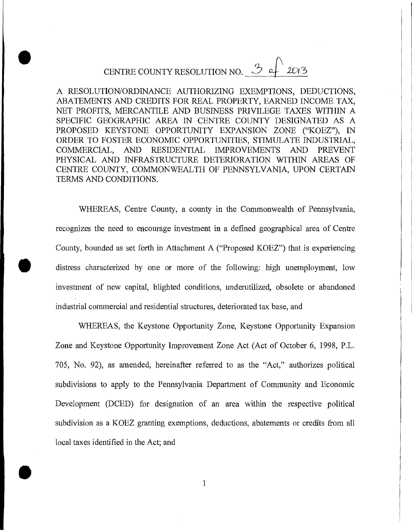# CENTRE COUNTY RESOLUTION NO.  $\frac{3}{2013}$

**•** 

A RESOLUTION/ORDINANCE AUTHORIZING EXEMPTIONS, DEDUCTIONS, ABATEMENTS AND CREDITS FOR REAL PROPERTY, EARNED INCOME TAX, NET PROFITS, MERCANTILE AND BUSINESS PRIVILEGE TAXES WITHIN A SPECIFIC GEOGRAPHIC AREA IN CENTRE COUNTY DESIGNATED AS A PROPOSED KEYSTONE OPPORTUNITY EXPANSION ZONE ("KOEZ'), IN ORDER TO FOSTER ECONOMIC OPPORTUNITIES, STIMULATE INDUSTRIAL, COMMERCIAL, AND RESIDENTIAL IMPROVEMENTS AND PREVENT PHYSICAL AND INFRASTRUCTURE DETERIORATION WITHIN AREAS OF CENTRE COUNTY, COMMONWEALTH OF PENNSYLVANIA, UPON CERTAIN TERMS AND CONDITIONS.

WHEREAS, Centre County, a county in the Commonwealth of Pennsylvania, recognizes the need to encourage investment in a defined geographical area of Centre County, bounded as set forth in Attachment A ("Proposed KOEZ") that is experiencing distress characterized by one or more of the following: high unemployment, low investment of new capital, blighted conditions, underutilized, obsolete or abandoned industrial commercial and residential structures, deteriorated tax base, and

WHEREAS, the Keystone Opportunity Zone, Keystone Opportunity Expansion Zone and Keystone Opportunity Improvement Zone Act (Act of October 6, 1998, P.L. *705,* No. 92), as amended, hereinafter referred to as the "Act," authorizes political subdivisions to apply to the Pennsylvania Department of Community and Economic Development (DCED) for designation of an area within the respective political subdivision as a KOEZ granting exemptions, deductions, abatements or credits from all local taxes identified in the Act; and

I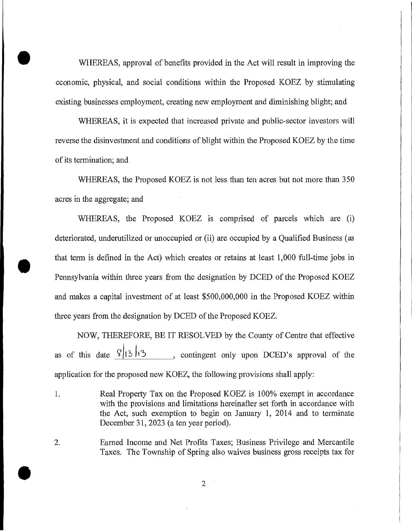WHEREAS, approval of benefits provided in the Act will result in improving the economic, physical, and social conditions within the Proposed KOEZ by stimulating existing businesses employment, creating new employment and diminishing blight; and

WHEREAS, it is expected that increased private and public-sector investors will reverse the disinvestment and conditions of blight within the Proposed KOEZ by the time of its termination; and

WHEREAS, the Proposed KOEZ is not less than ten acres but not more than 350 acres in the aggregate; and

WHEREAS, the Proposed KOEZ is comprised of parcels which are (i) deteriorated, underutilized or unoccupied or (ii) are occupied by a Qualified Business (as • that term is defined in the Act) which creates or retains at least 1,000 full-time jobs in Pennsylvania within three years from the designation by DCED of the Proposed KOEZ and makes a capital investment of at least \$500,000,000 in the Proposed KOEZ within three years from the designation by DCED of the Proposed KOEZ.

NOW, THEREFORE, BE IT RESOLVED by the County of Centre that effective as of this date  $\sqrt[6]{3}$  13 , contingent only upon DCED's approval of the application for the proposed new KOEZ, the following provisions shall apply:

Real Property Tax on the Proposed KOEZ is 100% exempt in accordance 1. with the provisions and limitations hereinafter set forth in accordance with the Act, such exemption to begin on January 1, 2014 and to terminate December 31, 2023 (a ten year period).

2. Earned Income and Net Profits Taxes; Business Privilege and Mercantile Taxes, The Township of Spring also waives business gross receipts tax for

 $\overline{2}$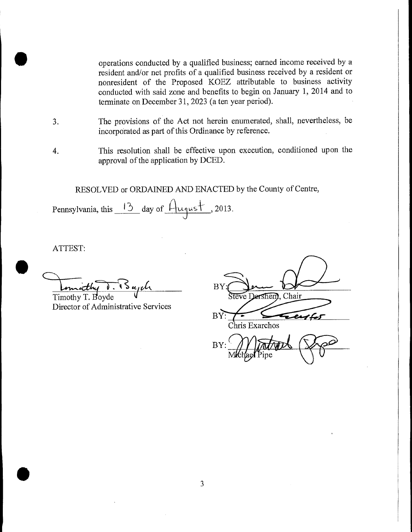**[I:** operations conducted by a qualified business; earned income received by a resident and/or net profits of a qualified business received by a resident or nonresident of the Proposed KOEZ attributable to business activity conducted with said zone and benefits to begin on January 1, 2014 and to terminate on December 31, 2023 (a ten year period).

- 3. The provisions of the Act not herein enumerated, shall, nevertheless, be incorporated as part of this Ordinance by reference.
- 4. This resolution shall be effective upon execution, conditioned upon the approval of the application by DCED.

RESOLVED or ORDAINED AND ENACTED by the County of Centre,

Pennsylvania, this  $\frac{13}{2}$  day of  $\frac{\mu_{\text{qust}}}{\mu_{\text{qust}}}$ , 2013.

ATTEST:

 $\bullet$ Innicthy . Bujel

Director of Administrative Services

| BY  |                      |  |
|-----|----------------------|--|
|     | Steve Dershem, Chair |  |
| BY: |                      |  |

Chris Exarchos

BY: Chris Exarchos<br>BY: Michael Pipe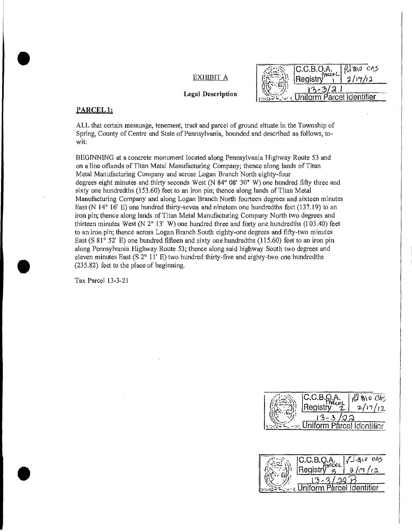*ko* ci EXHIBIT A Registry  $\begin{array}{ccc} 1 & 1 & 1 \end{array}$  13-3/3 Legal Description  $\left|\sum_{1\leq i\leq n} \sum_{i=1}^n \frac{1}{i} \right|$  Uniform Parcel Identifier

#### PARCEL<sub>1</sub>:

ALL that certain messuage, tenement, tract and parcel of ground situate in the Township of Spring, County of Centre and State of Pennsylvania, bounded and described as follows, towit:

BEGINNING at a concrete monument located along Pennsylvania Highway Route *53* and on a line oflands of Titan Metal Manufacturing Company; thence along lands of Titan Metal Manufacturing Company and across Logan Branch North eighty-four degrees eight minutes and thirty seconds West  $(N 84^{\circ} 08' 30'' W)$  one hundred fifty three and sixty one hundredths (153.60) feet to an iron pin; thence along lands of Titan Metal Manufacturing Company and along Logan Branch North fourteen degrees and sixteen minutes East (N 14° 16' E) one hundred thirty-seven and nineteen one hundredths feet (137.19) to an iron pin; thence along lands of Titan Metal Manufacturing Company North two degrees and thirteen minutes West (N  $2^{\circ}$  13' W) one hundred three and forty one hundredths (103.40) feet to an iron pin; thence across Logan Branch South eighty-one degrees and fifty-two minutes East (S 81° 52' E) one hundred fifteen and sixty one hundredths (115.60) feet to an iron pin along Pennsylvania Highway Route 53; thence along said highway South two degrees and eleven minutes East (S  $2^{\circ}$  11' E) two hundred thirty-five and eighty-two one hundredths (235,82) feet to the place of beginning.

Tax Parcel 13-3-21



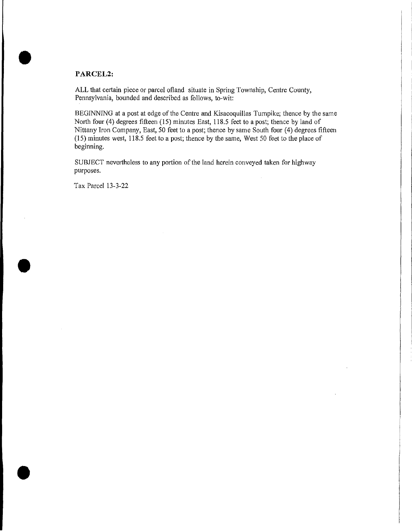# **PARCEL2:**

ALL that certain piece or parcel ofland situate in Spring Township, Centre County, Pennsylvania, bounded and described as follows, to-wit:

BEGINNING at a post at edge of the Centre and Kisacoquillas Turnpike; thence by the same North four (4) degrees fifteen *(15)* minutes East, 118.5 feet to a post; thence by land of Nittany Iron Company, East, 50 feet to a post; thence by same South four (4) degrees fifteen *(15)* minutes west, 118.5 feet to a post; thence by the same, West 50 feet to the place of beginning.

SUBJECT nevertheless to any portion of the land herein conveyed taken for highway purposes.

Tax Parcel 13-3-22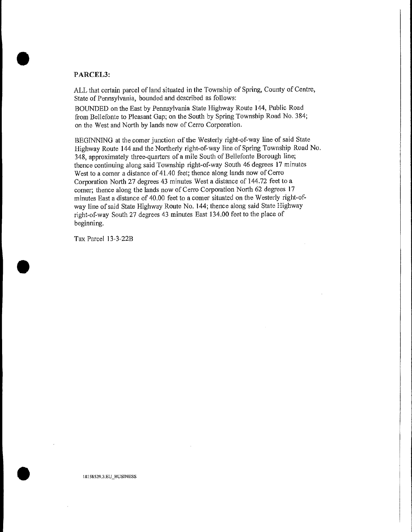## **PARCEL3:**

 $\blacksquare$ 

ALL that certain parcel of land situated in the Township of Spring, County of Centre, State of Pennsylvania, bounded and described as follows:

BOUNDED on the East by Pennsylvania State Highway Route 144, Public Road from Bellefonte to Pleasant Gap; on the South by Spring Township Road No. 384; on the West and North by lands now of Cerro Corporation.

BEGINNING at the comer junction of the Westerly right-of-way line of said State Highway Route 144 and the Northerly right-of-way line of Spring Township Road No. 348, approximately three-quarters of a mile South of Bellefonte Borough line; thence continuing along said Township right-of-way South 46 degrees 17 minutes West to a comer a distance of 41.40 feet; thence along lands now of Cerro Corporation North 27 degrees 43 minutes West a distance of 144.72 feet to a corner; thence along the lands now of Cerro Corporation North 62 degrees 17 minutes East a distance of 40.00 feet to a corner situated on the Westerly right-ofway line of said State Highway Route No. 144; thence along said State Highway right-of-way South 27 degrees 43 minutes East 134.00 feet to the place of beginning.

Tax Parcel 13-3-22B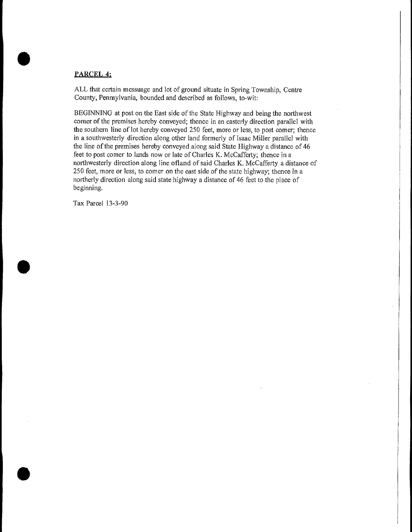# **PARCEL 4:**

ALL that certain messuage and lot of ground situate in Spring Township, Centre County, Pennsylvania, bounded and described as follows, to-wit:

BEGINNING at post on the East side of the State Highway and being the northwest corner of the premises hereby conveyed; thence in an easterly direction parallel with the southern line of lot hereby conveyed 250 feet, more or less, to post comer; thence in a southwesterly direction along other land formerly of Isaac Miller parallel with the line of the premises hereby conveyed along said State Highway a distance of 46 feet to post comer to lands now or late of Charles K. McCafferty; thence in a northwesterly direction along line ofland of said Charles K. McCafferty a distance of 250 feet, more or less, to comer on the east side of the state highway; thence in a northerly direction along said state highway a distance of 46 feet to the place of beginning.

Tax Parcel 13-3-90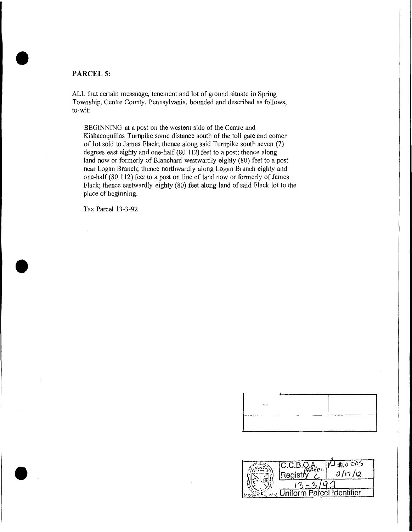## **PARCEL 5:**

ALL that certain messuage, tenement and lot of ground situate in Spring Township, Centre County, Pennsylvania, bounded and described as follows, to-wit:

BEGINNING at a post on the western side of the Centre and Kishacoquillas Turnpike some distance south of the toll gate and comer of lot sold to James Flack; thence along said Turnpike south seven (7) degrees east eighty and one-half (80 112) feet to a post; thence along land now or formerly of Blanchard westwardly eighty (80) feet to a post near Logan Branch; thence northwardly along Logan Branch eighty and one-half (80 112) feet to a post on line of land now or formerly of James Flack; thence eastwardly eighty (80) feet along land of said Flack lot to the place of beginning.

Tax Parcel 13-3-92

| مسنند |  |  |
|-------|--|--|
|       |  |  |
|       |  |  |
|       |  |  |
|       |  |  |
|       |  |  |
|       |  |  |
|       |  |  |
|       |  |  |
|       |  |  |

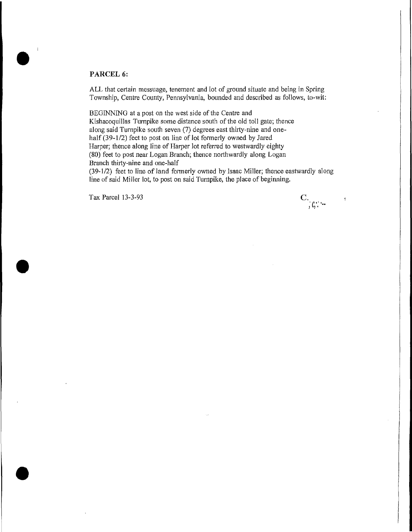# **PARCEL 6:**

 $\bullet$ 

**S** 

 $\bullet$ 

ALL that certain messuage, tenement and lot of ground situate and being in Spring Township, Centre County, Pennsylvania, bounded and described as follows, to-wit:

BEGINNING at a post on the west side of the Centre and Kishacoquillas Turnpike some distance south of the old toll gate; thence along said Turnpike south seven (7) degrees east thirty-nine and onehalf (39-1/2) feet to post on line of lot formerly owned by Jared Harper; thence along line of Harper lot referred to westwardly eighty (80) feet to post near Logan Branch; thence northwardly along Logan Branch thirty-nine and one-half

(39-1/2) feet to line of land formerly owned by Isaac Miller; thence eastwardly along line of said Miller lot, to post on said Turnpike, the place of beginning.

Tax Parcel 13-3-93

 $\mathbf{C}_{\cdot, \zeta, \cdot}$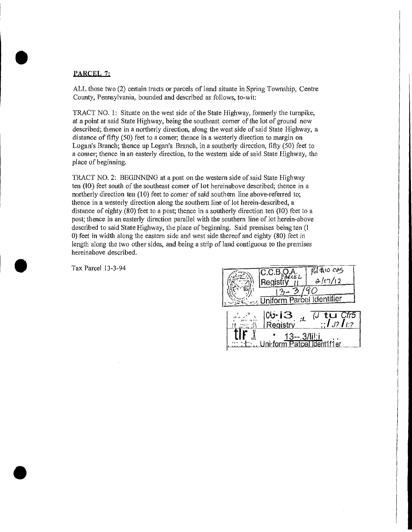### PARCEL 7:

ALL those two (2) certain tracts or parcels of land situate in Spring Township, Centre County, Pennsylvania, bounded and described as follows, to-wit:

TRACT NO. 1: Situate on the west side of the State Highway, formerly the turnpike, at a point at said State Highway, being the southeast corner of the lot of ground now described; thence in a northerly direction, along the west side of said State Highway, a distance of fifty (50) feet to a comer; thence in a westerly direction to margin on Logan's Branch; thence up Logan's Branch, in a southerly direction, fifty (50) feet to a corner; thence in an easterly direction, to the western side of said State Highway, the place of beginning.

TRACT NO. 2: BEGINNING at a post on the western side of said State Highway ten **(10)** feet south of the southeast corner of lot hereinabove described; thence in a northerly direction ten (10) feet to comer of said southern line above-referred to; thence in a westerly direction along the southern line of lot herein-described, a distance of eighty (80) feet to a post; thence in a southerly direction ten (JO) feet to a post; thence in an easterly direction parallel with the southern line of lot herein-above described to said State Highway, the place of beginning. Said premises being ten (I 0) feet in width along the eastern side and west side thereof and eighty (80) feet in length along the two other sides, and being a strip of land contiguous to the premises hereinabove described.

| Tax Parcel 13-3-94 | $\frac{1}{840}$ and $\frac{1}{2}$<br>ARCE L<br>'Reais.<br>Uniform Parcel Identifier<br>ar ar fil                                                                           |
|--------------------|----------------------------------------------------------------------------------------------------------------------------------------------------------------------------|
|                    | ,「……」   CU-13<br><u>// …… // │ Registry</u><br>fr5ي<br>$\frac{1}{2}$ $\int$ $J$ ? $\int$ $l$ :?<br><u>13-- 3/lilii.</u><br>Patcel Ident1f1er<br>the control of the control |